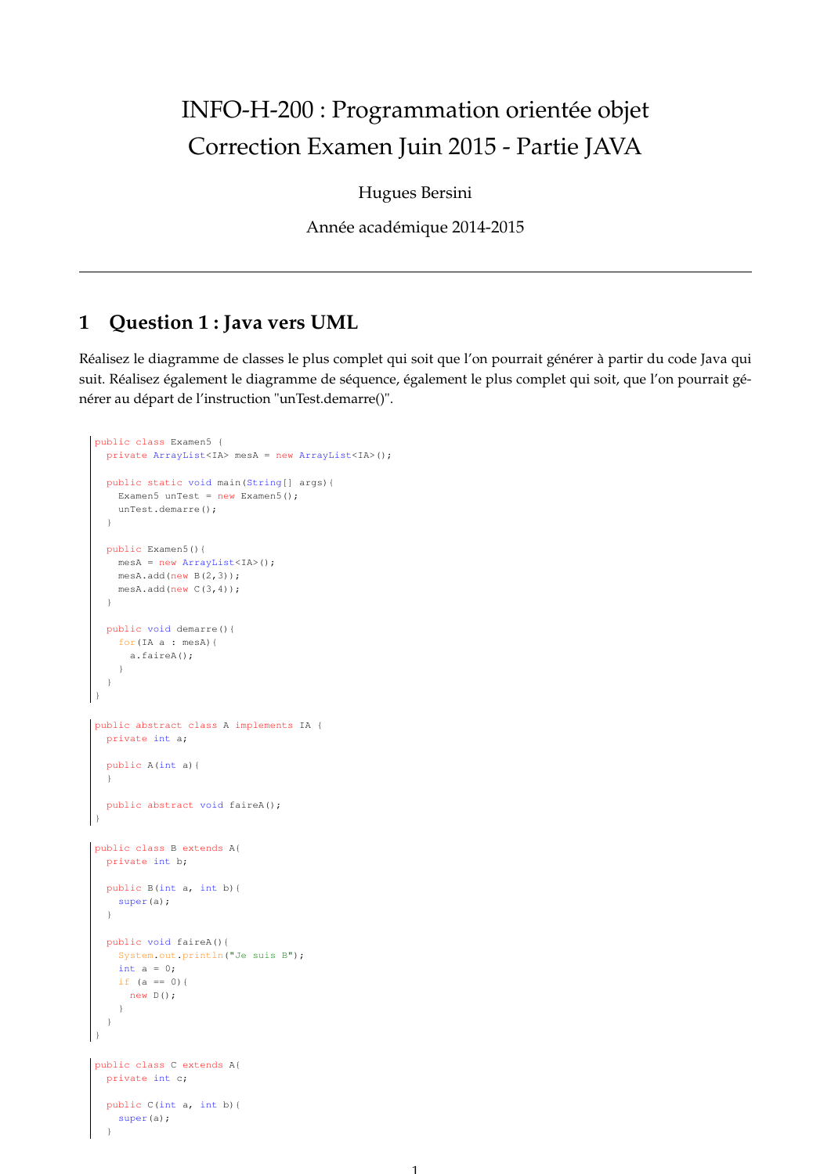# INFO-H-200 : Programmation orientée objet Correction Examen Juin 2015 - Partie JAVA

Hugues Bersini

Année académique 2014-2015

#### **1 Question 1 : Java vers UML**

Réalisez le diagramme de classes le plus complet qui soit que l'on pourrait générer à partir du code Java qui suit. Réalisez également le diagramme de séquence, également le plus complet qui soit, que l'on pourrait générer au départ de l'instruction "unTest.demarre()".

```
public class Examen5 {
  private ArrayList<IA> mesA = new ArrayList<IA>();
  public static void main(String[] args){
    Examen5 unTest = new Examen5();
    unTest.demarre();
  \overline{ }public Examen5(){
    mesA = new ArrayList<IA>();
   mesA.add(new B(2,3));mesA.add(new C(3,4));
  }
  public void demarre(){
    for(IA a : mesA){
      a.faireA();
    }
  }
}
public abstract class A implements IA {
  private int a;
  public A(int a){
  }
  public abstract void faireA();
}
public class B extends A{
  private int b;
  public B(int a, int b){
    super(a);
  }
  public void faireA(){
    System.out.println("Je suis B");
    int a = 0;
    if (a == 0) {
      new D();
    }
  }
}
public class C extends A{
  private int c;
  public C(int a, int b){
    super(a);
  }
```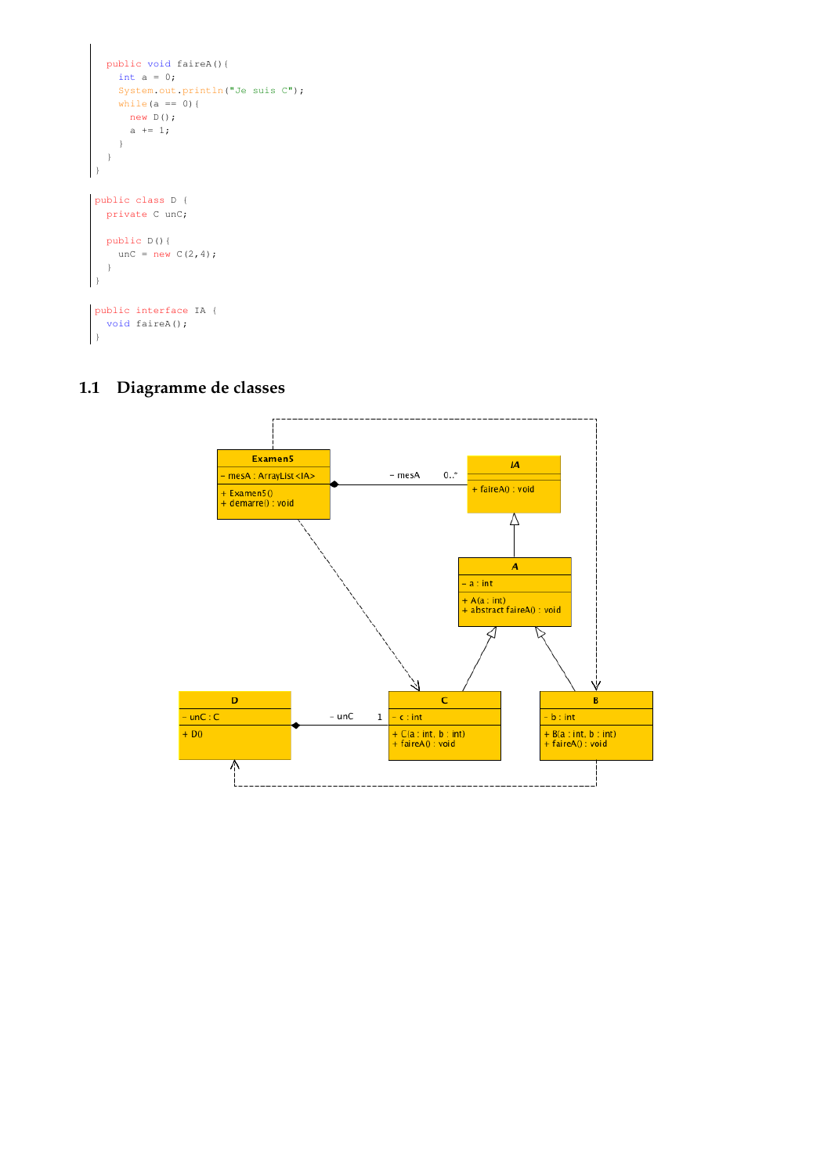```
public void faireA(){
    int a = 0;System.out.println("Je suis C");
    while(a == 0){
     new D();
      a \neq 1;}
  }
}
public class D {
  private C unC;
  public D(){
   unc = new C(2, 4);}
}
public interface IA {
  void faireA();
}
```
#### **1.1 Diagramme de classes**

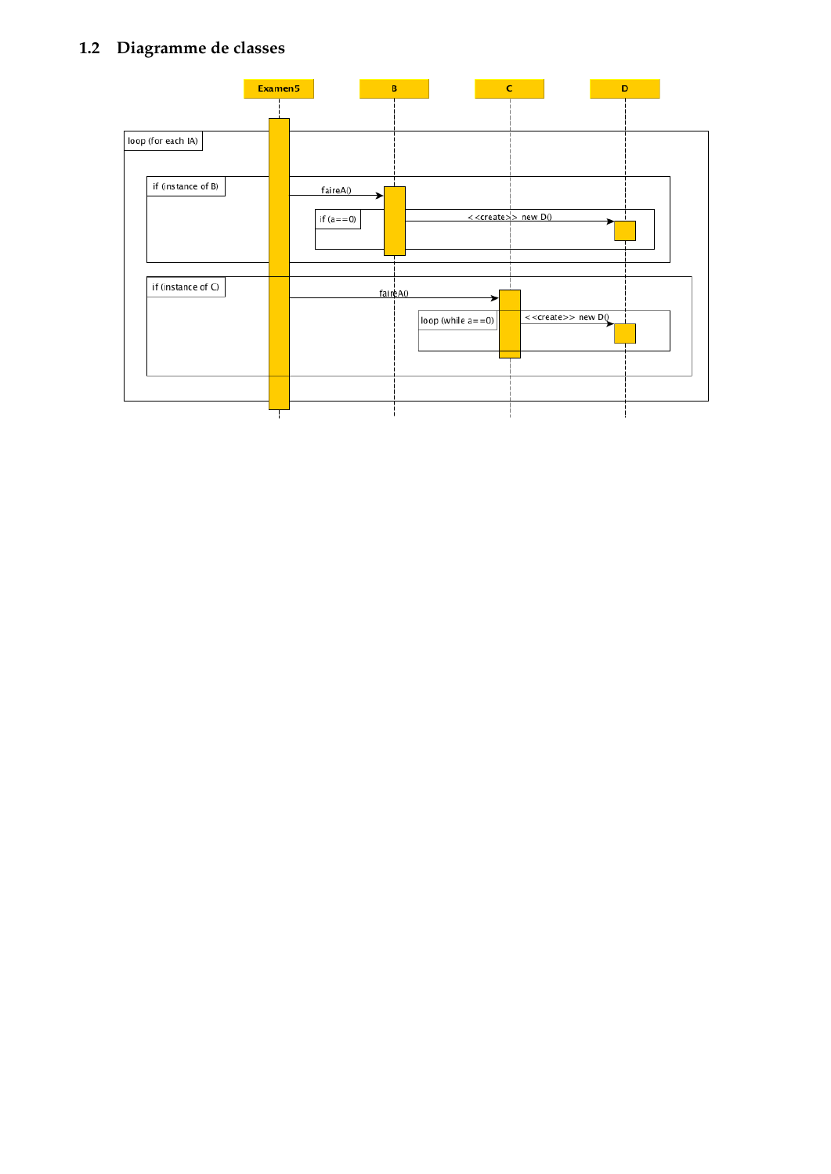# **1.2 Diagramme de classes**

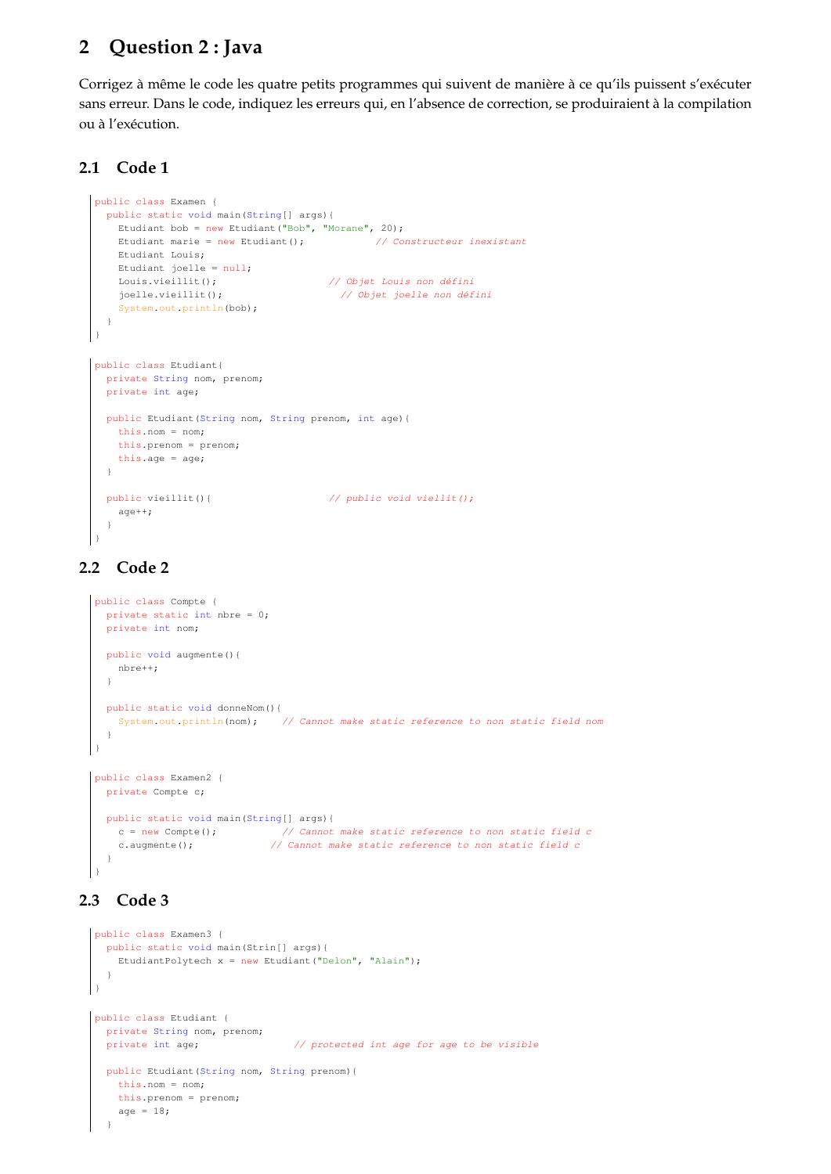## **2 Question 2 : Java**

Corrigez à même le code les quatre petits programmes qui suivent de manière à ce qu'ils puissent s'exécuter sans erreur. Dans le code, indiquez les erreurs qui, en l'absence de correction, se produiraient à la compilation ou à l'exécution.

#### **2.1 Code 1**

```
public class Examen {
  public static void main(String[] args){
    Etudiant bob = new Etudiant("Bob", "Morane", 20);
   Etudiant marie = new Etudiant(); \frac{1}{2} Constructeur inexistant
   Etudiant Louis;
   Etudiant joelle = null;
    Louis.vieillit(); // Objet Louis non défini
   joelle.vieillit(); // Objet joelle non défini
    System.out.println(bob);
  }
}
public class Etudiant{
  private String nom, prenom;
  private int age;
 public Etudiant(String nom, String prenom, int age){
   this.nom = nom;
   this.prenom = prenom;
   this.age = age;
  \mathbf{I}public vieillit(){ // public void viellit();
   age++;
  }
}
```
#### **2.2 Code 2**

```
public class Compte {
  private static int nbre = 0;
  private int nom;
  public void augmente(){
   nbre++;
  }
 public static void donneNom(){
    System.out.println(nom); // Cannot make static reference to non static field nom
  }
\vert )
public class Examen2 {
 private Compte c;
  public static void main(String[] args){
     c = new Compte(); // Cannot make static reference to non static field c
     c.augmente(); \frac{1}{2} // Cannot make static reference to non static field c
  }
```
#### **2.3 Code 3**

}

```
public class Examen3 {
  public static void main(Strin[] args){
    EtudiantPolytech x = new Etudiant("Delon", "Alain");
  }
\lambdapublic class Etudiant {
 private String nom, prenom;
 private int age; \frac{1}{2} protected int age for age to be visible
  public Etudiant(String nom, String prenom){
   this.nom = nom;
    this.prenom = prenom;
    age = 18;}
```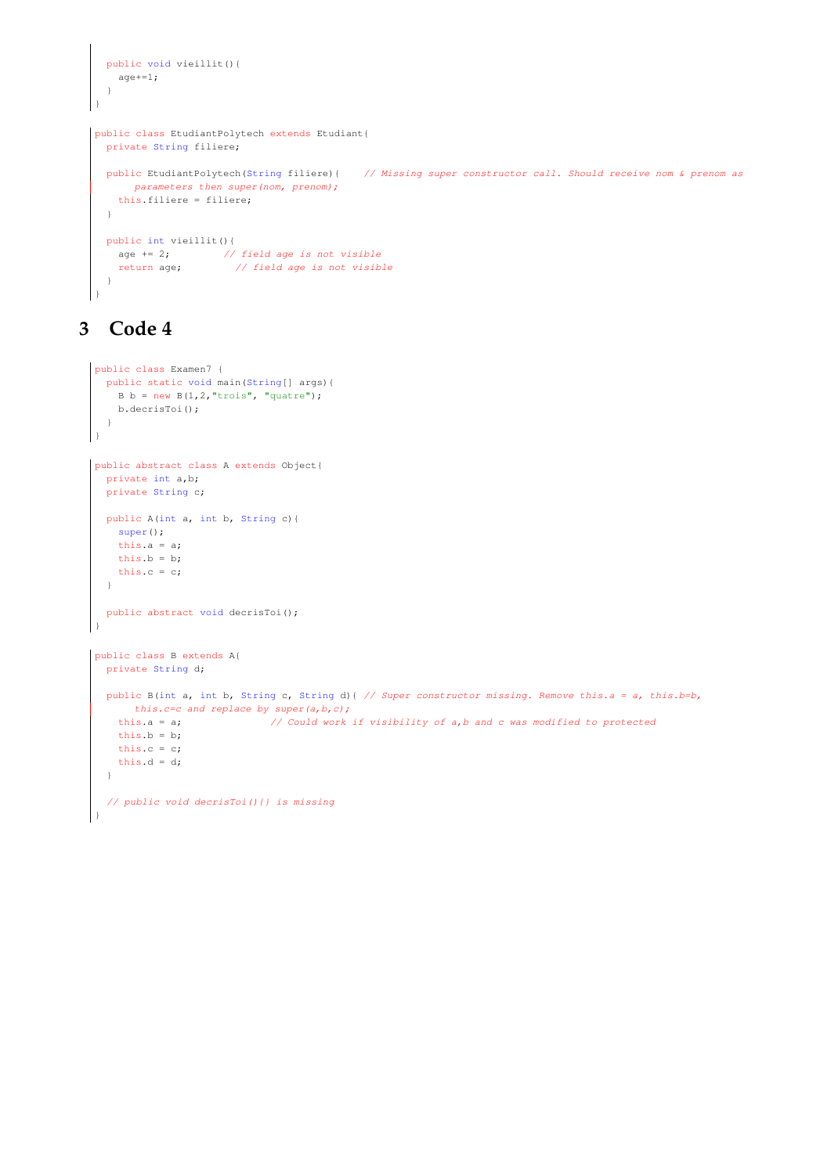```
public void vieillit(){
   age+=1;
  }
}
public class EtudiantPolytech extends Etudiant{
  private String filiere;
  public EtudiantPolytech(String filiere){ // Missing super constructor call. Should receive nom & prenom as
      parameters then super(nom, prenom);
   this.filiere = filiere;
  }
 public int vieillit(){
   age += 2; // field age is not visible
   return age; // field age is not visible
  }
}
```
# **3 Code 4**

```
public class Examen7 {
  public static void main(String[] args){
    B b = new B(1, 2, "trois", "quatre");b.decrisToi();
  }
\begin{array}{c} \end{array}public abstract class A extends Object{
  private int a,b;
  private String c;
 public A(int a, int b, String c){
    super();
    this.a = a;
    this.b = b;
    this.c = c;
  }
  public abstract void decrisToi();
}
public class B extends A{
  private String d;
  public B(int a, int b, String c, String d){ // Super constructor missing. Remove this.a = a, this.b=b,
      this.c=c and replace by super(a, b, c);
    this.a = a; \frac{1}{2} Could work if visibility of a,b and c was modified to protected
    this.b = b;
    this.c = c;
    this.d = d;
  }
  // public void decrisToi(){} is missing
 }
```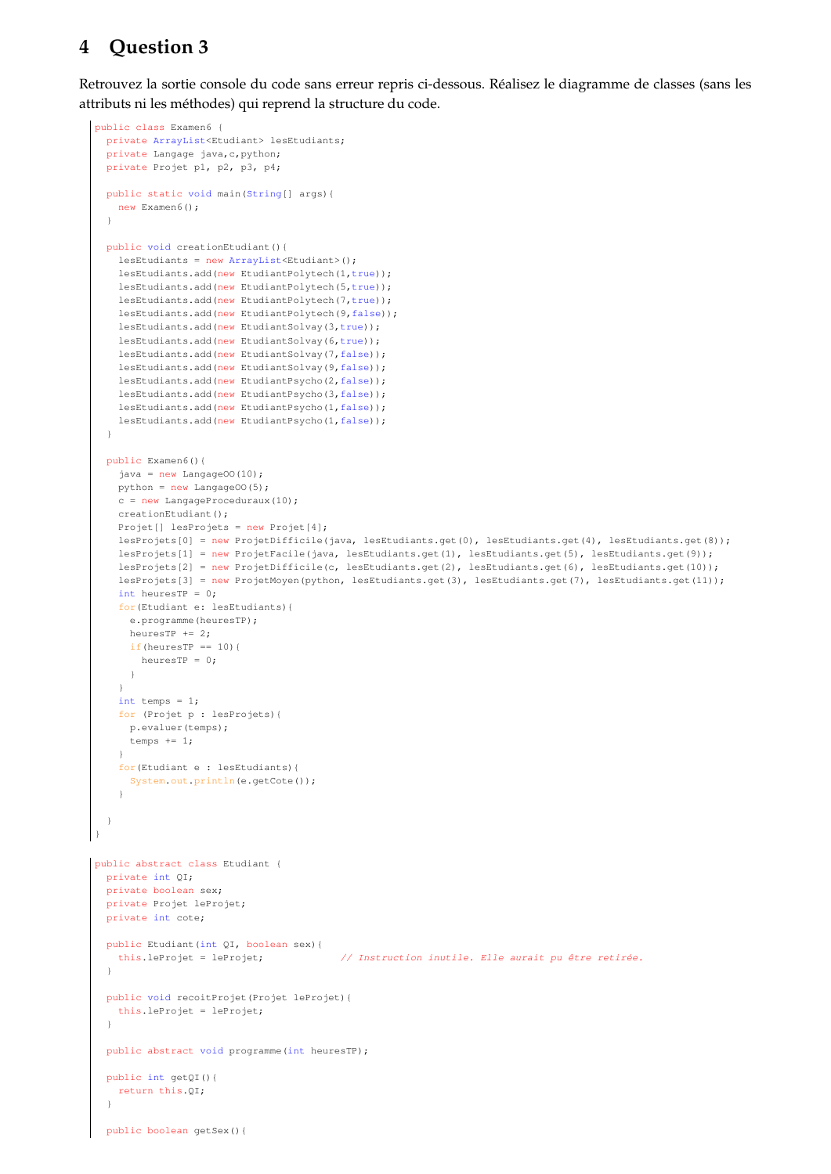# **4 Question 3**

Retrouvez la sortie console du code sans erreur repris ci-dessous. Réalisez le diagramme de classes (sans les attributs ni les méthodes) qui reprend la structure du code.

```
public class Examen6 {
  private ArrayList<Etudiant> lesEtudiants;
  private Langage java, c, python;
  private Projet p1, p2, p3, p4;
 public static void main(String[] args){
   new Examen6();
  }
 public void creationEtudiant(){
   lesEtudiants = new ArrayList<Etudiant>();
    lesEtudiants.add(new EtudiantPolytech(1,true));
   lesEtudiants.add(new EtudiantPolytech(5,true));
   lesEtudiants.add(new EtudiantPolytech(7,true));
    lesEtudiants.add(new EtudiantPolytech(9,false));
    lesEtudiants.add(new EtudiantSolvay(3,true));
    lesEtudiants.add(new EtudiantSolvay(6,true));
    lesEtudiants.add(new EtudiantSolvay(7,false));
    lesEtudiants.add(new EtudiantSolvay(9,false));
    lesEtudiants.add(new EtudiantPsycho(2,false));
    lesEtudiants.add(new EtudiantPsycho(3,false));
    lesEtudiants.add(new EtudiantPsycho(1,false));
    lesEtudiants.add(new EtudiantPsycho(1,false));
  }
  public Examen6(){
   java = new LangageOO(10);
   python = new LangageOO(5);
    c = new LanguageProceeduraux(10);creationEtudiant();
   Projet[] lesProjets = new Projet[4];
    lesProjets[0] = new ProjetDifficile(java, lesEtudiants.get(0), lesEtudiants.get(4), lesEtudiants.get(8));
    lesProjets[1] = new ProjetFacile(java, lesEtudiants.get(1), lesEtudiants.get(5), lesEtudiants.get(9));
    lesProjets[2] = new ProjetDifficile(c, lesEtudiants.get(2), lesEtudiants.get(6), lesEtudiants.get(10));
    lesProjets[3] = new ProjetMoyen(python, lesEtudiants.get(3), lesEtudiants.get(7), lesEtudiants.get(11));
    int heuresTP = 0;
    for(Etudiant e: lesEtudiants){
     e.programme(heuresTP);
      heuresTP += 2;
     if(heuresTP == 10){
       heuresTP = 0;
     }
    \mathfrak{r}int temps = 1;
    for (Projet p : lesProjets){
     p.evaluer(temps);
     temps += 1;
    }
    for(Etudiant e : lesEtudiants){
     System.out.println(e.getCote());
    \mathbf{r}}
}
public abstract class Etudiant {
 private int QI;
  private boolean sex;
 private Projet leProjet;
 private int cote;
 public Etudiant(int QI, boolean sex){
   this.leProjet = leProjet; // Instruction inutile. Elle aurait pu être retirée.
  }
 public void recoitProjet(Projet leProjet){
   this.leProjet = leProjet;
  }
  public abstract void programme(int heuresTP);
  public int getQI(){
   return this.QI;
  }
  public boolean getSex(){
```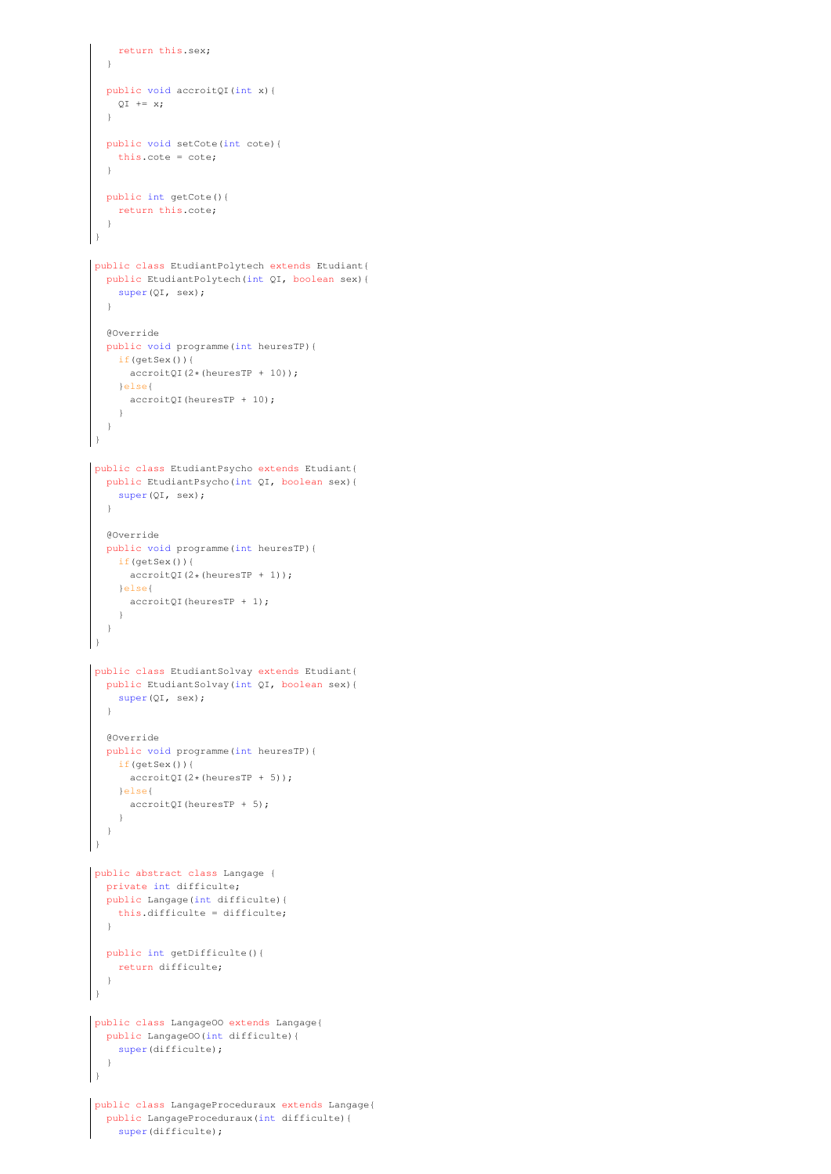```
return this.sex;
  }
  public void accroitQI(int x){
   OT + = x:
  }
  public void setCote(int cote){
    this.cote = cote;
  }
  public int getCote(){
    return this.cote;
  }
}
public class EtudiantPolytech extends Etudiant{
  public EtudiantPolytech(int QI, boolean sex){
    super(QI, sex);
  }
  @Override
  public void programme(int heuresTP){
    if(getSex()){
     accroitQI(2*(heuresTP + 10));
    }else{
     accroitQI(heuresTP + 10);
    }
  }
}
public class EtudiantPsycho extends Etudiant{
  public EtudiantPsycho(int QI, boolean sex){
    super(QI, sex);
  }
  @Override
 public void programme(int heuresTP){
    if(\text{getSex}())\text{accroitQI}(2*(\text{heuresTP} + 1));}else{
     accroitQI(heuresTP + 1);
    }
  }
}
public class EtudiantSolvay extends Etudiant{
  public EtudiantSolvay(int QI, boolean sex){
    super(OI, sex);
  }
  @Override
  public void programme(int heuresTP){
    if(getSex()){
     accroitQI(2*(heuresTP + 5));
    }else{
     accroitQI(heuresTP + 5);
    }
  }
}
public abstract class Langage {
  private int difficulte;
  public Langage(int difficulte){
    this.difficulte = difficulte;
  }
  public int getDifficulte(){
   return difficulte;
  }
}
public class LangageOO extends Langage{
  public LangageOO(int difficulte){
   super(difficulte);
  \rightarrow}
public class LangageProceduraux extends Langage{
  public LangageProceduraux(int difficulte){
    super(difficulte);
```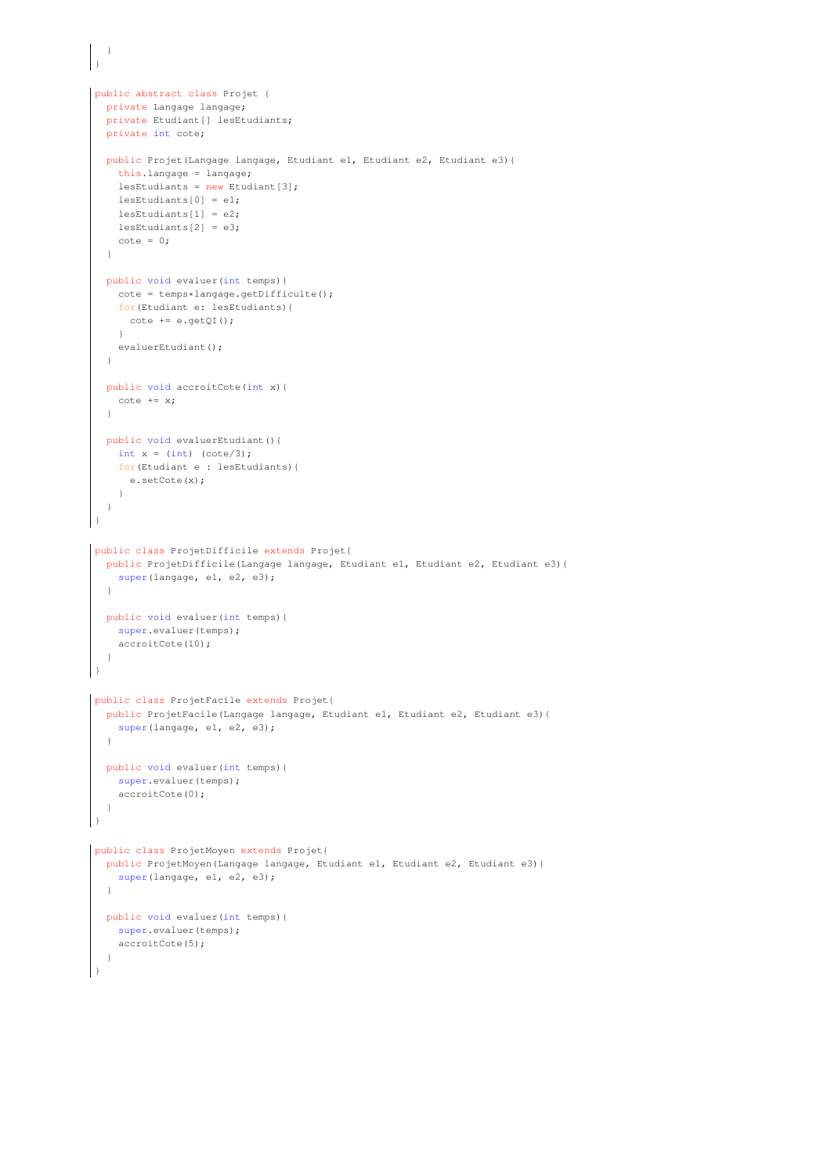```
\qquad \qquad }
}
public abstract class Projet {
  private Langage langage;
  private Etudiant [] lesEtudiants;
  private int cote;
 public Projet(Langage langage, Etudiant e1, Etudiant e2, Etudiant e3){
    this.langage = langage;
    lesEtudiants = new Etudiant[3];
    lesEtudiants[0] = e1;
    lesEtudiants[1] = e2;
    lesEtudiants[2] = e3;\cot e = 0:
  }
  public void evaluer(int temps){
    cote = temps*langage.getDifficulte();
    for(Etudiant e: lesEtudiants){
      cote += e.getQI();
    \lambdaevaluerEtudiant();
  }
  public void accroitCote(int x){
   \cot e += x;
  }
 public void evaluerEtudiant(){
    int x = (int) (cote/3);
    for(Etudiant e : lesEtudiants){
     e.setCote(x);
    }
  }
}
public class ProjetDifficile extends Projet{
  public ProjetDifficile(Langage langage, Etudiant e1, Etudiant e2, Etudiant e3){
    super(langage, e1, e2, e3);
  }
  public void evaluer(int temps){
   super.evaluer(temps);
    accroitCote(10);
  }
}
public class ProjetFacile extends Projet{
  public ProjetFacile(Langage langage, Etudiant e1, Etudiant e2, Etudiant e3){
    super(langage, e1, e2, e3);
  }
 public void evaluer(int temps){
    super.evaluer(temps);
    accroitCote(0);
  }
}
public class ProjetMoyen extends Projet{
  public ProjetMoyen(Langage langage, Etudiant e1, Etudiant e2, Etudiant e3){
    super(langage, e1, e2, e3);
  }
  public void evaluer(int temps){
    super.evaluer(temps);
    accroitCote(5);
  }
}
```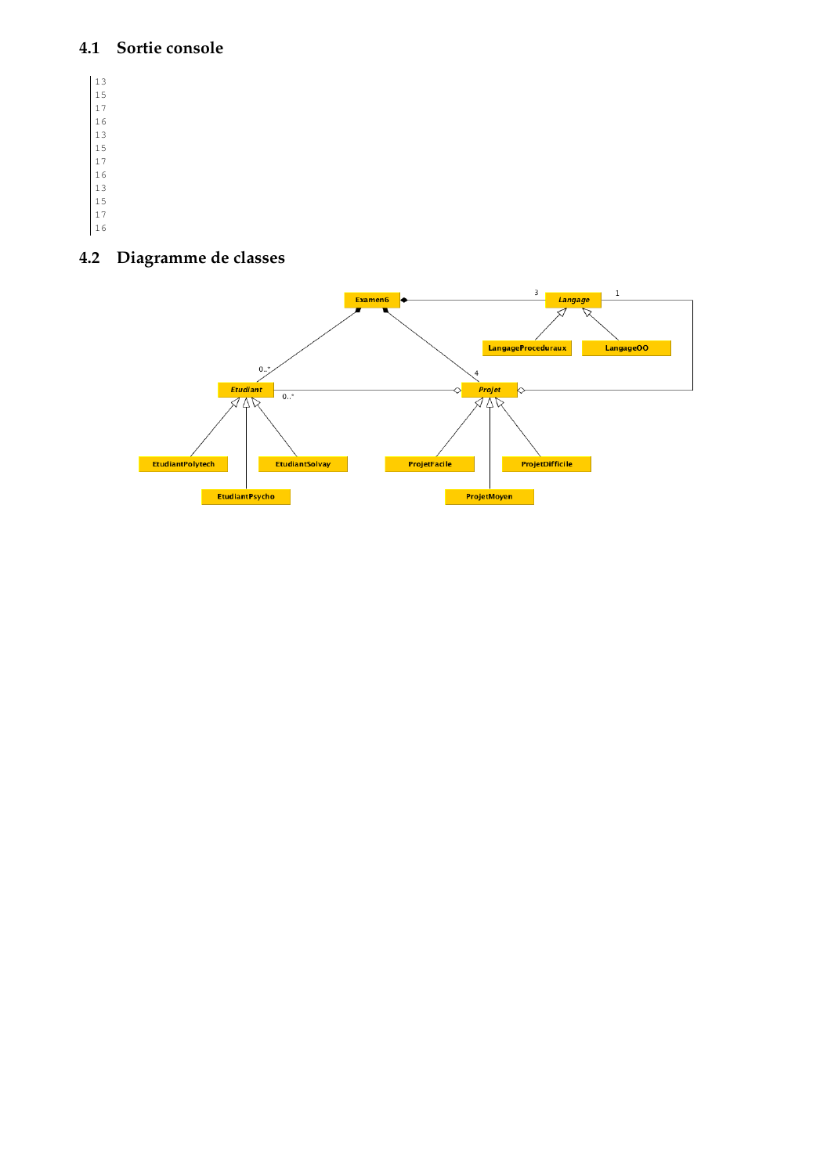#### **4.1 Sortie console**

#### **4.2 Diagramme de classes**

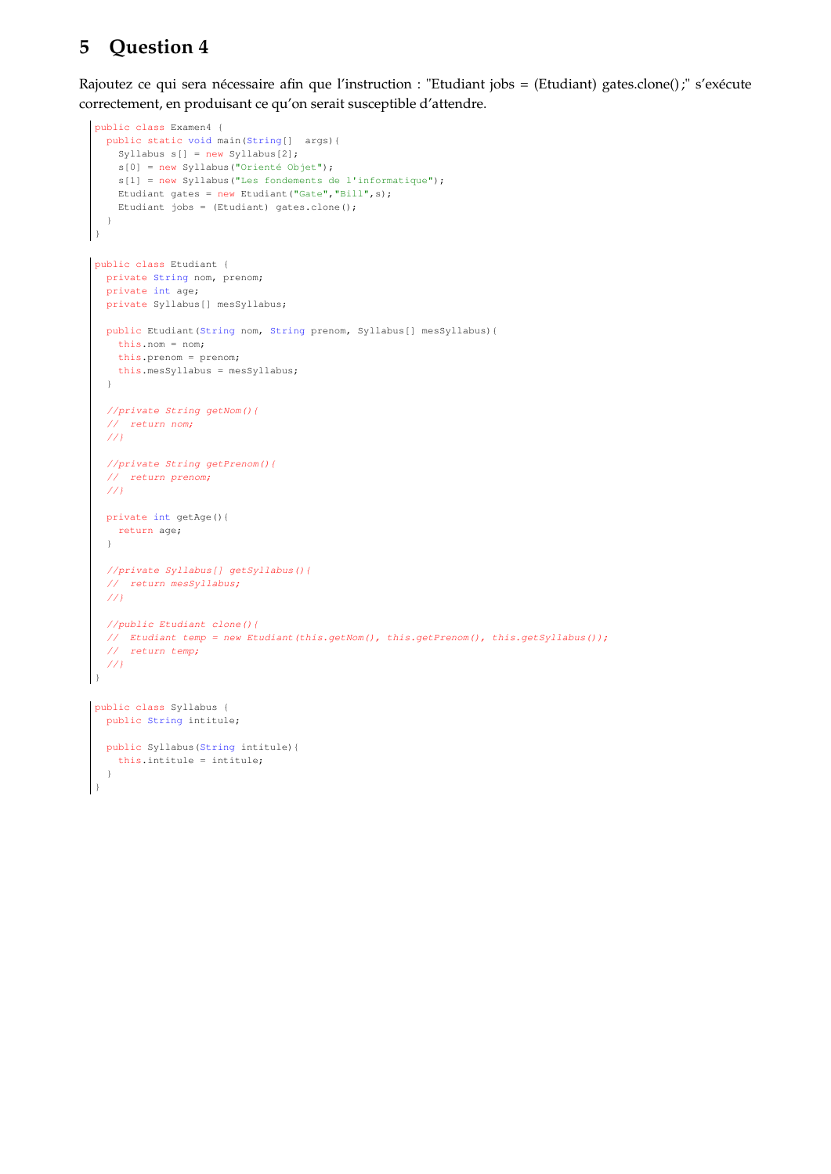# **5 Question 4**

Rajoutez ce qui sera nécessaire afin que l'instruction : "Etudiant jobs = (Etudiant) gates.clone() ;" s'exécute correctement, en produisant ce qu'on serait susceptible d'attendre.

```
public class Examen4 {
  public static void main(String[] args){
    Syllabus s[] = new Syllabus[2];
    s[0] = new Syllabus("Orienté Objet");
    s[1] = new Syllabus("Les fondements de l'informatique");
    Etudiant gates = new Etudiant("Gate","Bill",s);
    Etudiant jobs = (Etudiant) gates.clone();
  }
}
public class Etudiant {
  private String nom, prenom;
  private int age;
  private Syllabus[] mesSyllabus;
 public Etudiant(String nom, String prenom, Syllabus[] mesSyllabus){
    this.nom = nom;
    this.prenom = prenom;
    this.mesSyllabus = mesSyllabus;
  }
  //private String getNom(){
  // return nom;
  ////private String getPrenom(){
  // return prenom;
  ///}
  private int getAge(){
    return age;
  }
  //private Syllabus[] getSyllabus(){
  // return mesSyllabus;
  //}
  //public Etudiant clone(){
  // Etudiant temp = new Etudiant(this.getNom(), this.getPrenom(), this.getSyllabus());
  // return temp;
  //}
 }
public class Syllabus {
  public String intitule;
  public Syllabus(String intitule){
    this.intitule = intitule;
  }
}
```